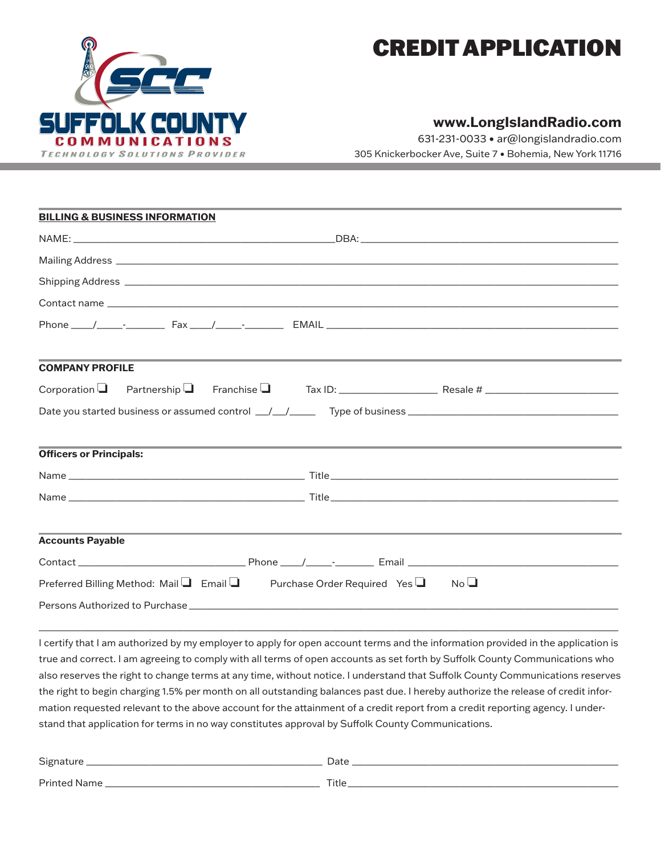

# CREDIT APPLICATION

# **www.LongIslandRadio.com**

631-231-0033 • ar@longislandradio.com 305 Knickerbocker Ave, Suite 7 • Bohemia, New York 11716

| <b>BILLING &amp; BUSINESS INFORMATION</b> |                                                                                                                 |  |  |  |
|-------------------------------------------|-----------------------------------------------------------------------------------------------------------------|--|--|--|
|                                           |                                                                                                                 |  |  |  |
|                                           |                                                                                                                 |  |  |  |
|                                           | Shipping Address entertainment of the state of the state of the state of the state of the state of the state of |  |  |  |
|                                           |                                                                                                                 |  |  |  |
|                                           |                                                                                                                 |  |  |  |
| <b>COMPANY PROFILE</b>                    |                                                                                                                 |  |  |  |
|                                           |                                                                                                                 |  |  |  |
|                                           |                                                                                                                 |  |  |  |
|                                           |                                                                                                                 |  |  |  |
| <b>Officers or Principals:</b>            | ,我们也不会有什么?""我们的人,我们也不会有什么?""我们的人,我们也不会有什么?""我们的人,我们也不会有什么?""我们的人,我们也不会有什么?""我们的人                                |  |  |  |
|                                           |                                                                                                                 |  |  |  |
|                                           |                                                                                                                 |  |  |  |
| <b>Accounts Payable</b>                   | ,我们也不能会在这里,我们的人们就会在这里,我们的人们就会在这里,我们的人们就会在这里,我们的人们就会在这里,我们的人们就会在这里,我们的人们就会在这里,我们的                                |  |  |  |
|                                           |                                                                                                                 |  |  |  |
|                                           | Preferred Billing Method: Mail $\Box$ Email $\Box$ Purchase Order Required Yes $\Box$ No $\Box$                 |  |  |  |
|                                           | Persons Authorized to Purchase <b>Example 20</b> No. 2014 19:30:20 No. 2014 19:30:20 No. 2014                   |  |  |  |

I certify that I am authorized by my employer to apply for open account terms and the information provided in the application is true and correct. I am agreeing to comply with all terms of open accounts as set forth by Suffolk County Communications who also reserves the right to change terms at any time, without notice. I understand that Suffolk County Communications reserves the right to begin charging 1.5% per month on all outstanding balances past due. I hereby authorize the release of credit information requested relevant to the above account for the attainment of a credit report from a credit reporting agency. I understand that application for terms in no way constitutes approval by Suffolk County Communications.

 $\Box \Box \Box \Box \Box \Box \Box \Box$  . The set of the set of the set of the set of the set of the set of the set of the set of the set of the set of the set of the set of the set of the set of the set of the set of the set of the set of th

| Signature     | Date  |
|---------------|-------|
| Printed Name_ | Title |